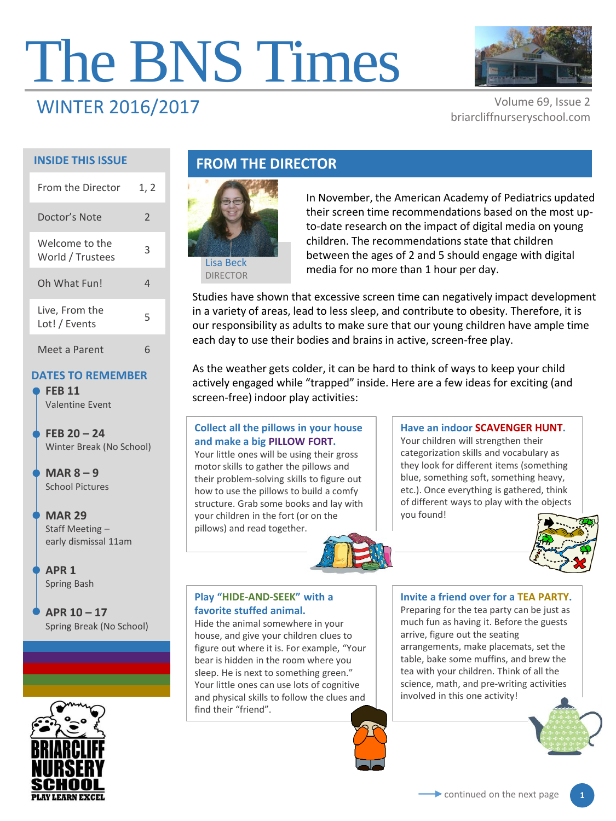# The BNS Times



# WINTER 2016/2017 Volume 69, Issue 2

briarcliffnurseryschool.com

#### **INSIDE THIS ISSUE**

| <b>From the Director</b>           | 1, 2          |
|------------------------------------|---------------|
| Doctor's Note                      | $\mathcal{P}$ |
| Welcome to the<br>World / Trustees | 3             |
| Oh What Fun!                       | 4             |
| Live, From the<br>Lot! / Events    | 5             |
| Meet a Parent                      |               |

#### **DATES TO REMEMBER**

**FEB 11** Valentine Event

**FEB 20 – 24**  Winter Break (No School)

**MAR 8 – 9** School Pictures

**MAR 29** Staff Meeting – early dismissal 11am

**APR 1** Spring Bash

**APR 10 – 17**  Spring Break (No School)



# **FROM THE DIRECTOR**



In November, the American Academy of Pediatrics updated their screen time recommendations based on the most upto-date research on the impact of digital media on young children. The recommendations state that children between the ages of 2 and 5 should engage with digital media for no more than 1 hour per day.

Studies have shown that excessive screen time can negatively impact development in a variety of areas, lead to less sleep, and contribute to obesity. Therefore, it is our responsibility as adults to make sure that our young children have ample time each day to use their bodies and brains in active, screen-free play.

As the weather gets colder, it can be hard to think of ways to keep your child actively engaged while "trapped" inside. Here are a few ideas for exciting (and screen-free) indoor play activities:

#### **Collect all the pillows in your house and make a big PILLOW FORT.**

Your little ones will be using their gross motor skills to gather the pillows and their problem-solving skills to figure out how to use the pillows to build a comfy structure. Grab some books and lay with your children in the fort (or on the pillows) and read together.

#### **Play "HIDE-AND-SEEK" with a favorite stuffed animal.**

Hide the animal somewhere in your house, and give your children clues to figure out where it is. For example, "Your bear is hidden in the room where you sleep. He is next to something green." Your little ones can use lots of cognitive and physical skills to follow the clues and find their "friend".

#### **Have an indoor SCAVENGER HUNT.**  Your children will strengthen their

categorization skills and vocabulary as they look for different items (something blue, something soft, something heavy, etc.). Once everything is gathered, think of different ways to play with the objects you found!



#### **Invite a friend over for a TEA PARTY.**

Preparing for the tea party can be just as much fun as having it. Before the guests arrive, figure out the seating arrangements, make placemats, set the table, bake some muffins, and brew the tea with your children. Think of all the science, math, and pre-writing activities involved in this one activity!



**1**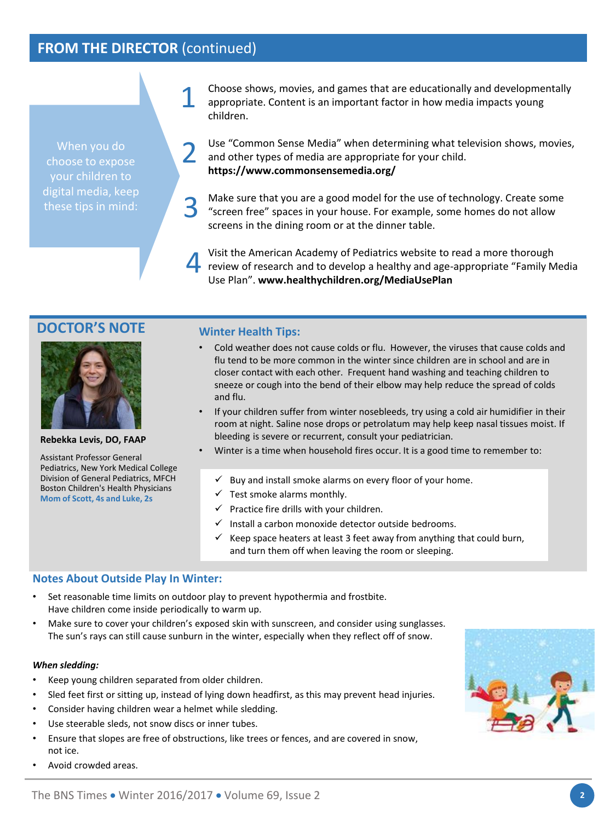# **FROM THE DIRECTOR** (continued)

1

When you do choose to expose your children to digital media, keep these tips in mind:

Choose shows, movies, and games that are educationally and developmentally appropriate. Content is an important factor in how media impacts young children.

Use "Common Sense Media" when determining what television shows, movies, and other types of media are appropriate for your child. **https://www.commonsensemedia.org/**  2

Make sure that you are a good model for the use of technology. Create some "screen free" spaces in your house. For example, some homes do not allow screens in the dining room or at the dinner table. 3

Visit the American Academy of Pediatrics website to read a more thorough review of research and to develop a healthy and age-appropriate "Family Media Use Plan". **www.healthychildren.org/MediaUsePlan** 4

#### **DOCTOR'S NOTE**



**Rebekka Levis, DO, FAAP**

Assistant Professor General Pediatrics, New York Medical College Division of General Pediatrics, MFCH Boston Children's Health Physicians **Mom of Scott, 4s and Luke, 2s**

#### **Winter Health Tips:**

- Cold weather does not cause colds or flu. However, the viruses that cause colds and flu tend to be more common in the winter since children are in school and are in closer contact with each other. Frequent hand washing and teaching children to sneeze or cough into the bend of their elbow may help reduce the spread of colds and flu.
- If your children suffer from winter nosebleeds, try using a cold air humidifier in their room at night. Saline nose drops or petrolatum may help keep nasal tissues moist. If bleeding is severe or recurrent, consult your pediatrician.
- Winter is a time when household fires occur. It is a good time to remember to:
	- $\checkmark$  Buy and install smoke alarms on every floor of your home.
	- $\checkmark$  Test smoke alarms monthly.
	- $\checkmark$  Practice fire drills with your children.
	- $\checkmark$  Install a carbon monoxide detector outside bedrooms.
	- $\checkmark$  Keep space heaters at least 3 feet away from anything that could burn, and turn them off when leaving the room or sleeping.

#### **Notes About Outside Play In Winter:**

- Set reasonable time limits on outdoor play to prevent hypothermia and frostbite. Have children come inside periodically to warm up.
- Make sure to cover your children's exposed skin with sunscreen, and consider using sunglasses. The sun's rays can still cause sunburn in the winter, especially when they reflect off of snow.

#### *When sledding:*

- Keep young children separated from older children.
- Sled feet first or sitting up, instead of lying down headfirst, as this may prevent head injuries.
- Consider having children wear a helmet while sledding.
- Use steerable sleds, not snow discs or inner tubes.
- Ensure that slopes are free of obstructions, like trees or fences, and are covered in snow, not ice.
- Avoid crowded areas.

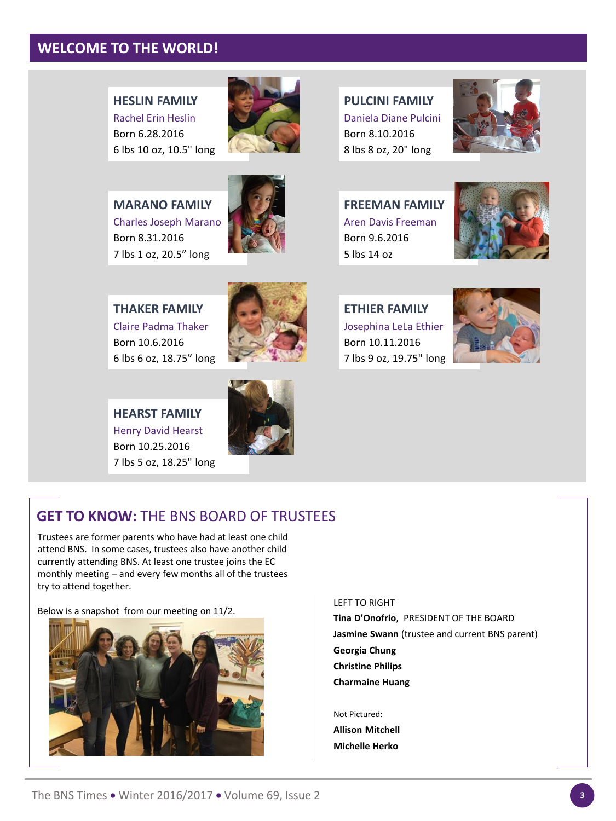# **WELCOME TO THE WORLD!**

**HESLIN FAMILY** Rachel Erin Heslin Born 6.28.2016 6 lbs 10 oz, 10.5" long



**MARANO FAMILY** Charles Joseph Marano Born 8.31.2016 7 lbs 1 oz, 20.5" long



**THAKER FAMILY** Claire Padma Thaker Born 10.6.2016 6 lbs 6 oz, 18.75" long



**HEARST FAMILY** Henry David Hearst Born 10.25.2016 7 lbs 5 oz, 18.25" long



**PULCINI FAMILY** Daniela Diane Pulcini Born 8.10.2016 8 lbs 8 oz, 20" long



**FREEMAN FAMILY** Aren Davis Freeman Born 9.6.2016 5 lbs 14 oz



**ETHIER FAMILY** Josephina LeLa Ethier Born 10.11.2016 7 lbs 9 oz, 19.75" long





# **GET TO KNOW:** THE BNS BOARD OF TRUSTEES

Trustees are former parents who have had at least one child attend BNS. In some cases, trustees also have another child currently attending BNS. At least one trustee joins the EC monthly meeting – and every few months all of the trustees try to attend together.

Below is a snapshot from our meeting on 11/2.



#### LEFT TO RIGHT

**Tina D'Onofrio**, PRESIDENT OF THE BOARD **Jasmine Swann** (trustee and current BNS parent) **Georgia Chung Christine Philips Charmaine Huang**

Not Pictured:

**Allison Mitchell Michelle Herko**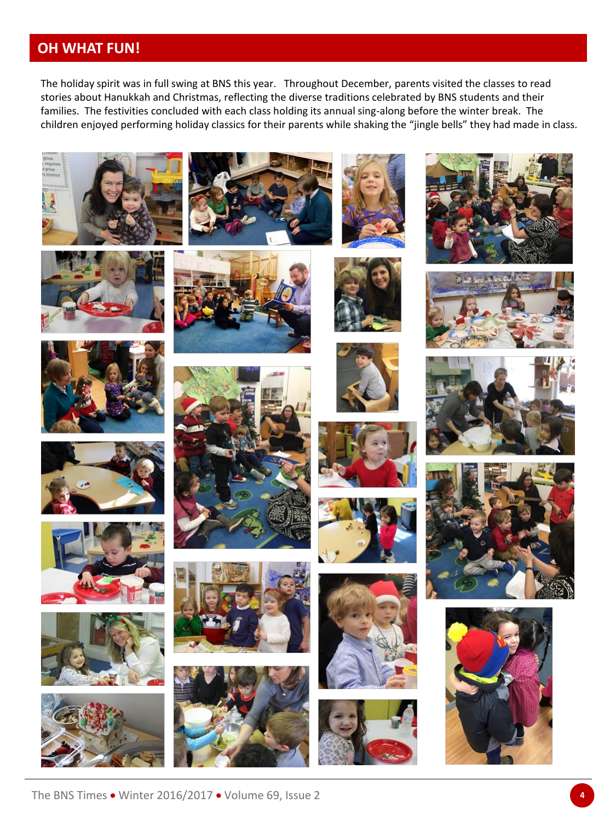# **OH WHAT FUN!**

The holiday spirit was in full swing at BNS this year. Throughout December, parents visited the classes to read stories about Hanukkah and Christmas, reflecting the diverse traditions celebrated by BNS students and their families. The festivities concluded with each class holding its annual sing-along before the winter break. The children enjoyed performing holiday classics for their parents while shaking the "jingle bells" they had made in class.







































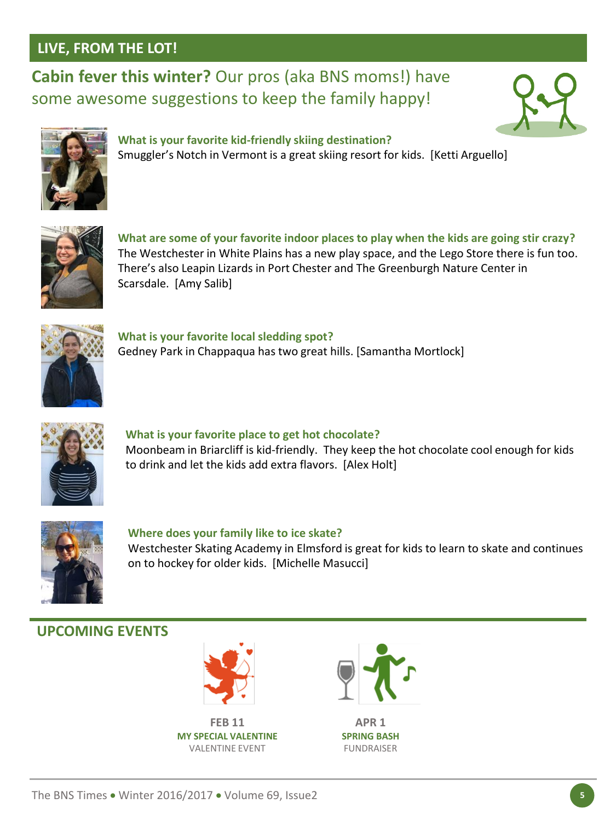# **LIVE, FROM THE LOT!**

**Cabin fever this winter?** Our pros (aka BNS moms!) have some awesome suggestions to keep the family happy!





**What is your favorite kid-friendly skiing destination?**  Smuggler's Notch in Vermont is a great skiing resort for kids. [Ketti Arguello]



**What are some of your favorite indoor places to play when the kids are going stir crazy?** The Westchester in White Plains has a new play space, and the Lego Store there is fun too. There's also Leapin Lizards in Port Chester and The Greenburgh Nature Center in Scarsdale. [Amy Salib]



**What is your favorite local sledding spot?** Gedney Park in Chappaqua has two great hills. [Samantha Mortlock]



**What is your favorite place to get hot chocolate?** Moonbeam in Briarcliff is kid-friendly. They keep the hot chocolate cool enough for kids to drink and let the kids add extra flavors. [Alex Holt]



**Where does your family like to ice skate?** Westchester Skating Academy in Elmsford is great for kids to learn to skate and continues on to hockey for older kids. [Michelle Masucci]

# **UPCOMING EVENTS**